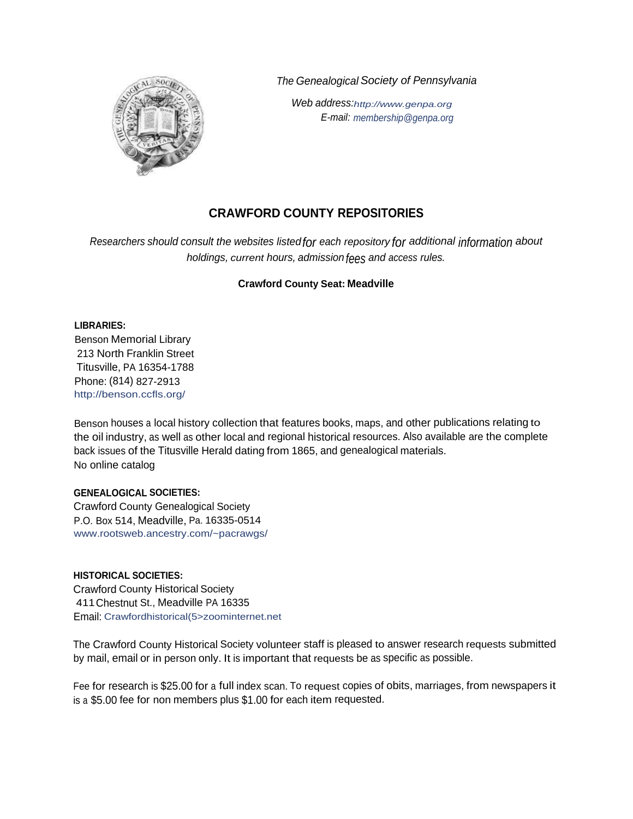*The Genealogical Society of Pennsylvania*



*Web address:http://www.genpa.org E-mail: membership@genpa.org*

# **CRAWFORD COUNTY REPOSITORIES**

*Researchers should consult the websites listedfor each repository for additional information about holdings, current hours, admission fees and access rules.*

# **Crawford County Seat: Meadville**

**LIBRARIES:**

Benson Memorial Library 213 North Franklin Street Titusville, PA 16354-1788 Phone: (814) 827-2913 http://benson.ccfls.org/

Benson houses a local history collection that features books, maps, and other publications relating to the oil industry, as well as other local and regional historical resources. Also available are the complete back issues of the Titusville Herald dating from 1865, and genealogical materials. No online catalog

## **GENEALOGICAL SOCIETIES:**

Crawford County Genealogical Society P.O. Box 514, Meadville, Pa. 16335-0514 www.rootsweb.ancestry.com/~pacrawgs/

## **HISTORICAL SOCIETIES:**

Crawford County Historical Society 411Chestnut St., Meadville PA 16335 Email: Crawfordhistorical(5>zoominternet.net

The Crawford County Historical Society volunteer staff is pleased to answer research requests submitted by mail, email or in person only. It is important that requests be as specific as possible.

Fee for research is \$25.00 for <sup>a</sup> full index scan. To request copies of obits, marriages, from newspapers it is a \$5.00 fee for non members plus \$1.00 for each item requested.